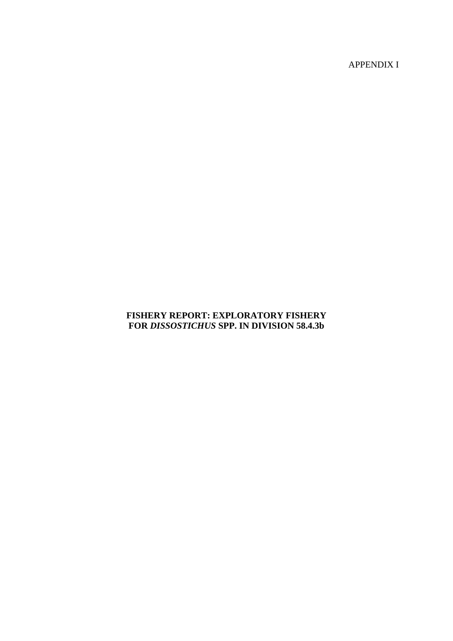APPENDIX I

# **FISHERY REPORT: EXPLORATORY FISHERY FOR** *DISSOSTICHUS* **SPP. IN DIVISION 58.4.3b**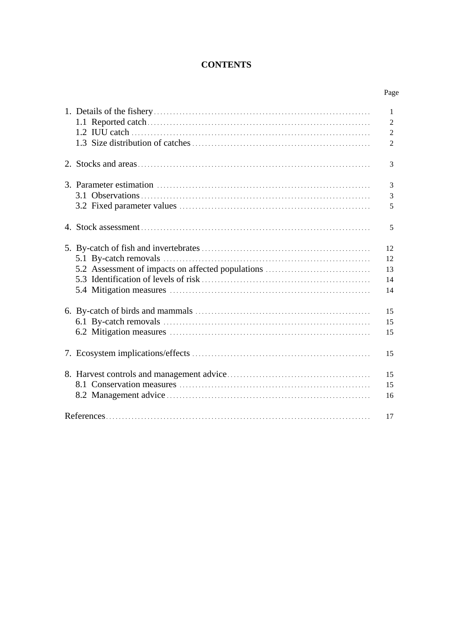# **CONTENTS**

| ٦ |
|---|
|---|

|                                                   | 1              |
|---------------------------------------------------|----------------|
|                                                   | $\overline{2}$ |
|                                                   | $\overline{2}$ |
|                                                   | $\overline{2}$ |
|                                                   |                |
|                                                   | 3              |
|                                                   |                |
|                                                   | 3              |
|                                                   | 3              |
|                                                   | 5              |
|                                                   |                |
|                                                   | 5              |
|                                                   |                |
|                                                   | 12             |
|                                                   | 12             |
| 5.2 Assessment of impacts on affected populations | 13             |
|                                                   | 14             |
|                                                   | 14             |
|                                                   |                |
|                                                   | 15             |
|                                                   | 15             |
|                                                   |                |
|                                                   | 15             |
|                                                   | 15             |
|                                                   |                |
|                                                   | 15             |
|                                                   | 15             |
|                                                   |                |
|                                                   | 16             |
|                                                   | 17             |
|                                                   |                |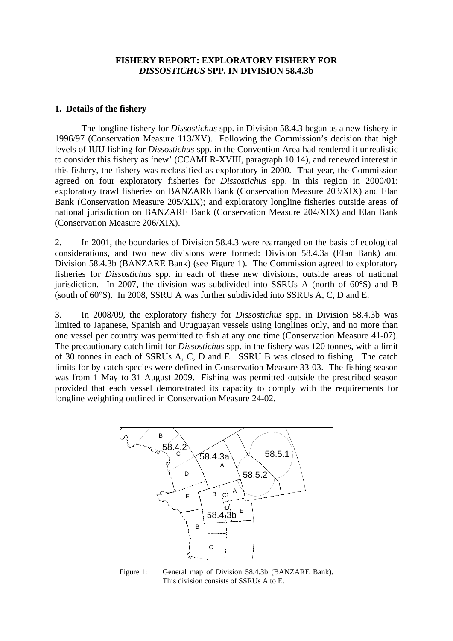### **FISHERY REPORT: EXPLORATORY FISHERY FOR**  *DISSOSTICHUS* **SPP. IN DIVISION 58.4.3b**

#### <span id="page-2-0"></span>**1. Details of the fishery**

The longline fishery for *Dissostichus* spp. in Division 58.4.3 began as a new fishery in 1996/97 (Conservation Measure 113/XV). Following the Commission's decision that high levels of IUU fishing for *Dissostichus* spp. in the Convention Area had rendered it unrealistic to consider this fishery as 'new' (CCAMLR-XVIII, paragraph 10.14), and renewed interest in this fishery, the fishery was reclassified as exploratory in 2000. That year, the Commission agreed on four exploratory fisheries for *Dissostichus* spp. in this region in 2000/01: exploratory trawl fisheries on BANZARE Bank (Conservation Measure 203/XIX) and Elan Bank (Conservation Measure 205/XIX); and exploratory longline fisheries outside areas of national jurisdiction on BANZARE Bank (Conservation Measure 204/XIX) and Elan Bank (Conservation Measure 206/XIX).

2. In 2001, the boundaries of Division 58.4.3 were rearranged on the basis of ecological considerations, and two new divisions were formed: Division 58.4.3a (Elan Bank) and Division 58.4.3b (BANZARE Bank) (see Figure 1). The Commission agreed to exploratory fisheries for *Dissostichus* spp. in each of these new divisions, outside areas of national jurisdiction. In 2007, the division was subdivided into SSRUs A (north of  $60^{\circ}$ S) and B (south of 60°S). In 2008, SSRU A was further subdivided into SSRUs A, C, D and E.

3. In 2008/09, the exploratory fishery for *Dissostichus* spp. in Division 58.4.3b was limited to Japanese, Spanish and Uruguayan vessels using longlines only, and no more than one vessel per country was permitted to fish at any one time (Conservation Measure 41-07). The precautionary catch limit for *Dissostichus* spp. in the fishery was 120 tonnes, with a limit of 30 tonnes in each of SSRUs A, C, D and E. SSRU B was closed to fishing. The catch limits for by-catch species were defined in Conservation Measure 33-03. The fishing season was from 1 May to 31 August 2009. Fishing was permitted outside the prescribed season provided that each vessel demonstrated its capacity to comply with the requirements for longline weighting outlined in Conservation Measure 24-02.



Figure 1: General map of Division 58.4.3b (BANZARE Bank). This division consists of SSRUs A to E.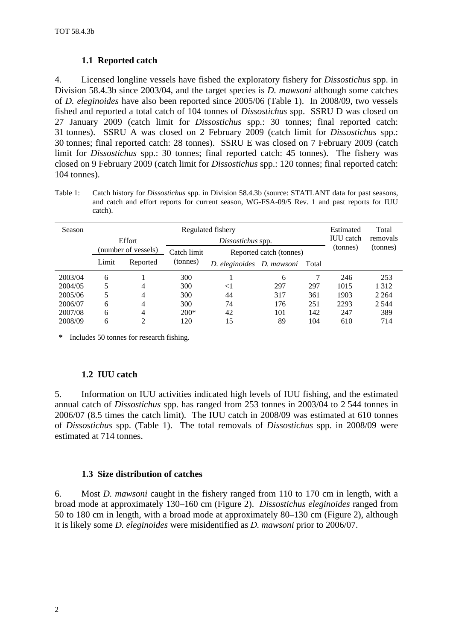### **1.1 Reported catch**

<span id="page-3-0"></span>4. Licensed longline vessels have fished the exploratory fishery for *Dissostichus* spp. in Division 58.4.3b since 2003/04, and the target species is *D. mawsoni* although some catches of *D. eleginoides* have also been reported since 2005/06 (Table 1). In 2008/09, two vessels fished and reported a total catch of 104 tonnes of *Dissostichus* spp. SSRU D was closed on 27 January 2009 (catch limit for *Dissostichus* spp.: 30 tonnes; final reported catch: 31 tonnes). SSRU A was closed on 2 February 2009 (catch limit for *Dissostichus* spp.: 30 tonnes; final reported catch: 28 tonnes). SSRU E was closed on 7 February 2009 (catch limit for *Dissostichus* spp.: 30 tonnes; final reported catch: 45 tonnes). The fishery was closed on 9 February 2009 (catch limit for *Dissostichus* spp.: 120 tonnes; final reported catch: 104 tonnes).

Table 1: Catch history for *Dissostichus* spp. in Division 58.4.3b (source: STATLANT data for past seasons, and catch and effort reports for current season, WG-FSA-09/5 Rev. 1 and past reports for IUU catch).

| Season  |       | Estimated           | Total             |                           |                         |       |      |          |
|---------|-------|---------------------|-------------------|---------------------------|-------------------------|-------|------|----------|
|         |       | Effort              | Dissostichus spp. |                           |                         |       |      | removals |
|         |       | (number of vessels) | Catch limit       |                           | Reported catch (tonnes) |       |      | (tonnes) |
|         | Limit | Reported            | (tonnes)          | D. eleginoides D. mawsoni |                         | Total |      |          |
| 2003/04 | 6     |                     | 300               |                           | 6                       |       | 246  | 253      |
| 2004/05 |       | 4                   | 300               | $<$ 1                     | 297                     | 297   | 1015 | 1 3 1 2  |
| 2005/06 |       | 4                   | 300               | 44                        | 317                     | 361   | 1903 | 2 2 6 4  |
| 2006/07 | 6     | 4                   | 300               | 74                        | 176                     | 251   | 2293 | 2 5 4 4  |
| 2007/08 | 6     | $\overline{4}$      | $200*$            | 42                        | 101                     | 142   | 247  | 389      |
| 2008/09 | 6     |                     | 120               | 15                        | 89                      | 104   | 610  | 714      |

**\*** Includes 50 tonnes for research fishing.

### **1.2 IUU catch**

5. Information on IUU activities indicated high levels of IUU fishing, and the estimated annual catch of *Dissostichus* spp. has ranged from 253 tonnes in 2003/04 to 2 544 tonnes in 2006/07 (8.5 times the catch limit). The IUU catch in 2008/09 was estimated at 610 tonnes of *Dissostichus* spp. (Table 1). The total removals of *Dissostichus* spp. in 2008/09 were estimated at 714 tonnes.

### **1.3 Size distribution of catches**

6. Most *D. mawsoni* caught in the fishery ranged from 110 to 170 cm in length, with a broad mode at approximately 130–160 cm (Figure 2). *Dissostichus eleginoides* ranged from 50 to 180 cm in length, with a broad mode at approximately 80–130 cm (Figure 2), although it is likely some *D. eleginoides* were misidentified as *D. mawsoni* prior to 2006/07.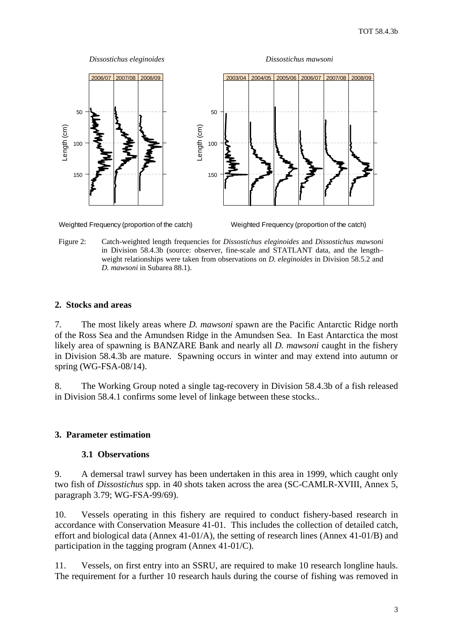<span id="page-4-0"></span>

Weighted Frequency (proportion of the catch)

Figure 2: Catch-weighted length frequencies for *Dissostichus eleginoides* and *Dissostichus mawsoni* in Division 58.4.3b (source: observer, fine-scale and STATLANT data, and the length– weight relationships were taken from observations on *D. eleginoides* in Division 58.5.2 and *D. mawsoni* in Subarea 88.1).

#### **2. Stocks and areas**

7. The most likely areas where *D. mawsoni* spawn are the Pacific Antarctic Ridge north of the Ross Sea and the Amundsen Ridge in the Amundsen Sea. In East Antarctica the most likely area of spawning is BANZARE Bank and nearly all *D. mawsoni* caught in the fishery in Division 58.4.3b are mature. Spawning occurs in winter and may extend into autumn or spring (WG-FSA-08/14).

8. The Working Group noted a single tag-recovery in Division 58.4.3b of a fish released in Division 58.4.1 confirms some level of linkage between these stocks..

### **3. Parameter estimation**

### **3.1 Observations**

9. A demersal trawl survey has been undertaken in this area in 1999, which caught only two fish of *Dissostichus* spp. in 40 shots taken across the area (SC-CAMLR-XVIII, Annex 5, paragraph 3.79; WG-FSA-99/69).

10. Vessels operating in this fishery are required to conduct fishery-based research in accordance with Conservation Measure 41-01. This includes the collection of detailed catch, effort and biological data (Annex 41-01/A), the setting of research lines (Annex 41-01/B) and participation in the tagging program (Annex 41-01/C).

11. Vessels, on first entry into an SSRU, are required to make 10 research longline hauls. The requirement for a further 10 research hauls during the course of fishing was removed in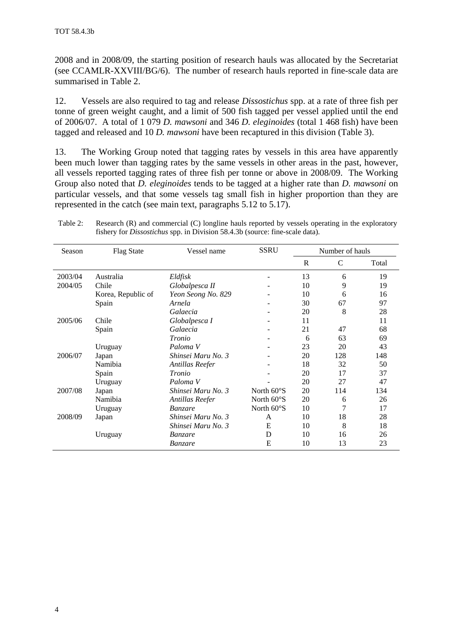2008 and in 2008/09, the starting position of research hauls was allocated by the Secretariat (see CCAMLR-XXVIII/BG/6). The number of research hauls reported in fine-scale data are summarised in Table 2.

12. Vessels are also required to tag and release *Dissostichus* spp. at a rate of three fish per tonne of green weight caught, and a limit of 500 fish tagged per vessel applied until the end of 2006/07. A total of 1 079 *D. mawsoni* and 346 *D. eleginoides* (total 1 468 fish) have been tagged and released and 10 *D. mawsoni* have been recaptured in this division (Table 3).

13. The Working Group noted that tagging rates by vessels in this area have apparently been much lower than tagging rates by the same vessels in other areas in the past, however, all vessels reported tagging rates of three fish per tonne or above in 2008/09. The Working Group also noted that *D. eleginoides* tends to be tagged at a higher rate than *D. mawsoni* on particular vessels, and that some vessels tag small fish in higher proportion than they are represented in the catch (see main text, paragraphs 5.12 to 5.17).

Table 2: Research (R) and commercial (C) longline hauls reported by vessels operating in the exploratory fishery for *Dissostichus* spp. in Division 58.4.3b (source: fine-scale data).

| Season  | <b>Flag State</b>  | Vessel name        | <b>SSRU</b>          | Number of hauls |     |       |
|---------|--------------------|--------------------|----------------------|-----------------|-----|-------|
|         |                    |                    |                      | R               | C   | Total |
| 2003/04 | Australia          | Eldfisk            | -                    | 13              | 6   | 19    |
| 2004/05 | Chile              | Globalpesca II     |                      | 10              | 9   | 19    |
|         | Korea, Republic of | Yeon Seong No. 829 |                      | 10              | 6   | 16    |
|         | Spain              | Arnela             |                      | 30              | 67  | 97    |
|         |                    | Galaecia           |                      | 20              | 8   | 28    |
| 2005/06 | Chile              | Globalpesca I      |                      | 11              |     | 11    |
|         | Spain              | Galaecia           |                      | 21              | 47  | 68    |
|         |                    | Tronio             |                      | 6               | 63  | 69    |
|         | Uruguay            | Paloma V           |                      | 23              | 20  | 43    |
| 2006/07 | Japan              | Shinsei Maru No. 3 |                      | 20              | 128 | 148   |
|         | Namibia            | Antillas Reefer    |                      | 18              | 32  | 50    |
|         | Spain              | Tronio             |                      | 20              | 17  | 37    |
|         | Uruguay            | Paloma V           |                      | 20              | 27  | 47    |
| 2007/08 | Japan              | Shinsei Maru No. 3 | North $60^{\circ}$ S | 20              | 114 | 134   |
|         | Namibia            | Antillas Reefer    | North $60^{\circ}$ S | 20              | 6   | 26    |
|         | Uruguay            | Banzare            | North $60^{\circ}$ S | 10              | 7   | 17    |
| 2008/09 | Japan              | Shinsei Maru No. 3 | A                    | 10              | 18  | 28    |
|         |                    | Shinsei Maru No. 3 | Ε                    | 10              | 8   | 18    |
|         | Uruguay            | <i>Banzare</i>     | D                    | 10              | 16  | 26    |
|         |                    | Banzare            | E                    | 10              | 13  | 23    |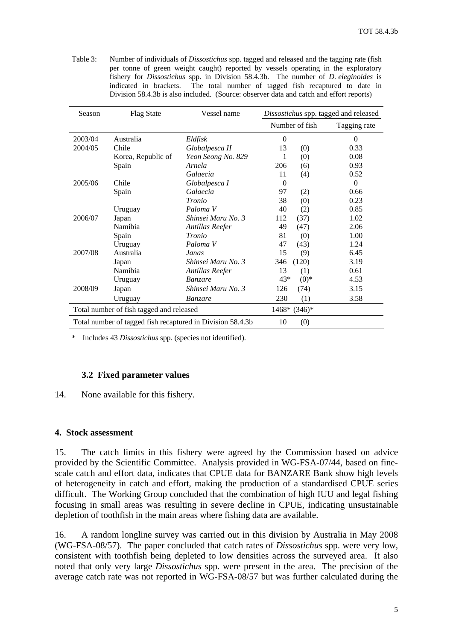Table 3: Number of individuals of *Dissostichus* spp. tagged and released and the tagging rate (fish per tonne of green weight caught) reported by vessels operating in the exploratory fishery for *Dissostichus* spp. in Division 58.4.3b. The number of *D. eleginoides* is indicated in brackets. The total number of tagged fish recaptured to date in Division 58.4.3b is also included. (Source: observer data and catch and effort reports)

| Season                                   | <b>Flag State</b>  | Vessel name                                                | Dissostichus spp. tagged and released |                |  |  |
|------------------------------------------|--------------------|------------------------------------------------------------|---------------------------------------|----------------|--|--|
|                                          |                    |                                                            | Number of fish                        | Tagging rate   |  |  |
| 2003/04                                  | Australia          | Eldfisk                                                    | $\Omega$                              | $\Omega$       |  |  |
| 2004/05                                  | Chile              | Globalpesca II                                             | 13<br>(0)                             | 0.33           |  |  |
|                                          | Korea, Republic of | Yeon Seong No. 829                                         | 1<br>(0)                              | 0.08           |  |  |
|                                          | Spain              | Arnela                                                     | 206<br>(6)                            | 0.93           |  |  |
|                                          |                    | Galaecia                                                   | 11<br>(4)                             | 0.52           |  |  |
| 2005/06                                  | Chile              | Globalpesca I                                              | $\Omega$                              | $\overline{0}$ |  |  |
|                                          | Spain              | Galaecia                                                   | 97<br>(2)                             | 0.66           |  |  |
|                                          |                    | Tronio                                                     | 38<br>(0)                             | 0.23           |  |  |
|                                          | Uruguay            | Paloma V                                                   | 40<br>(2)                             | 0.85           |  |  |
| 2006/07                                  | Japan              | Shinsei Maru No. 3                                         | 112<br>(37)                           | 1.02           |  |  |
|                                          | Namibia            | Antillas Reefer                                            | 49<br>(47)                            | 2.06           |  |  |
|                                          | Spain              | <i>Tronio</i>                                              | 81<br>(0)                             | 1.00           |  |  |
|                                          | Uruguay            | Paloma V                                                   | 47<br>(43)                            | 1.24           |  |  |
| 2007/08                                  | Australia          | Janas                                                      | 15<br>(9)                             | 6.45           |  |  |
|                                          | Japan              | Shinsei Maru No. 3                                         | (120)<br>346                          | 3.19           |  |  |
|                                          | Namibia            | Antillas Reefer                                            | 13<br>(1)                             | 0.61           |  |  |
|                                          | Uruguay            | <b>Banzare</b>                                             | $43*$<br>$(0)*$                       | 4.53           |  |  |
| 2008/09                                  | Japan              | Shinsei Maru No. 3                                         | 126<br>(74)                           | 3.15           |  |  |
|                                          | Uruguay            | Banzare                                                    | 230<br>(1)                            | 3.58           |  |  |
| Total number of fish tagged and released |                    |                                                            | $1468* (346)*$                        |                |  |  |
|                                          |                    | Total number of tagged fish recaptured in Division 58.4.3b | 10<br>(0)                             |                |  |  |

\* Includes 43 *Dissostichus* spp. (species not identified).

### **3.2 Fixed parameter values**

#### 14. None available for this fishery.

### **4. Stock assessment**

15. The catch limits in this fishery were agreed by the Commission based on advice provided by the Scientific Committee. Analysis provided in WG-FSA-07/44, based on finescale catch and effort data, indicates that CPUE data for BANZARE Bank show high levels of heterogeneity in catch and effort, making the production of a standardised CPUE series difficult. The Working Group concluded that the combination of high IUU and legal fishing focusing in small areas was resulting in severe decline in CPUE, indicating unsustainable depletion of toothfish in the main areas where fishing data are available.

16. A random longline survey was carried out in this division by Australia in May 2008 (WG-FSA-08/57). The paper concluded that catch rates of *Dissostichus* spp. were very low, consistent with toothfish being depleted to low densities across the surveyed area. It also noted that only very large *Dissostichus* spp. were present in the area. The precision of the average catch rate was not reported in WG-FSA-08/57 but was further calculated during the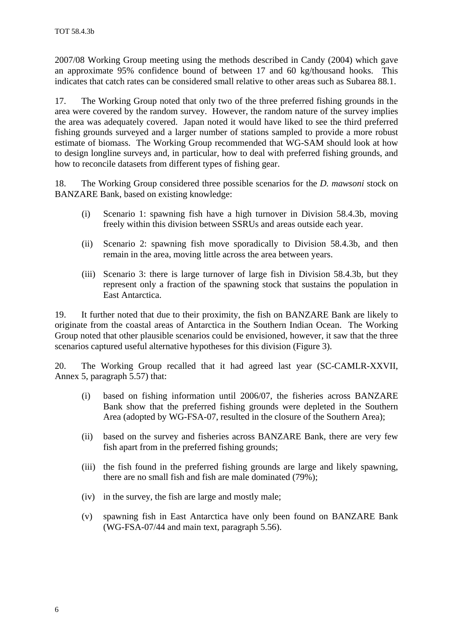2007/08 Working Group meeting using the methods described in Candy (2004) which gave an approximate 95% confidence bound of between 17 and 60 kg/thousand hooks. This indicates that catch rates can be considered small relative to other areas such as Subarea 88.1.

17. The Working Group noted that only two of the three preferred fishing grounds in the area were covered by the random survey. However, the random nature of the survey implies the area was adequately covered. Japan noted it would have liked to see the third preferred fishing grounds surveyed and a larger number of stations sampled to provide a more robust estimate of biomass. The Working Group recommended that WG-SAM should look at how to design longline surveys and, in particular, how to deal with preferred fishing grounds, and how to reconcile datasets from different types of fishing gear.

18. The Working Group considered three possible scenarios for the *D. mawsoni* stock on BANZARE Bank, based on existing knowledge:

- (i) Scenario 1: spawning fish have a high turnover in Division 58.4.3b, moving freely within this division between SSRUs and areas outside each year.
- (ii) Scenario 2: spawning fish move sporadically to Division 58.4.3b, and then remain in the area, moving little across the area between years.
- (iii) Scenario 3: there is large turnover of large fish in Division 58.4.3b, but they represent only a fraction of the spawning stock that sustains the population in East Antarctica.

19. It further noted that due to their proximity, the fish on BANZARE Bank are likely to originate from the coastal areas of Antarctica in the Southern Indian Ocean. The Working Group noted that other plausible scenarios could be envisioned, however, it saw that the three scenarios captured useful alternative hypotheses for this division (Figure 3).

20. The Working Group recalled that it had agreed last year (SC-CAMLR-XXVII, Annex 5, paragraph 5.57) that:

- (i) based on fishing information until 2006/07, the fisheries across BANZARE Bank show that the preferred fishing grounds were depleted in the Southern Area (adopted by WG-FSA-07, resulted in the closure of the Southern Area);
- (ii) based on the survey and fisheries across BANZARE Bank, there are very few fish apart from in the preferred fishing grounds;
- (iii) the fish found in the preferred fishing grounds are large and likely spawning, there are no small fish and fish are male dominated (79%);
- (iv) in the survey, the fish are large and mostly male;
- (v) spawning fish in East Antarctica have only been found on BANZARE Bank (WG-FSA-07/44 and main text, paragraph 5.56).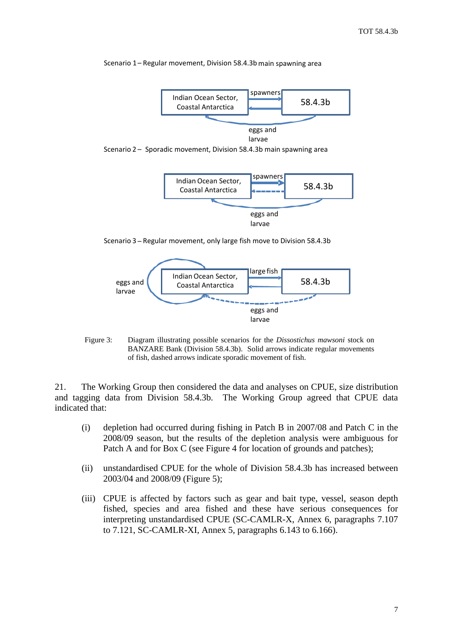



larvae

Scenario 2 – Sporadic movement, Division 58.4.3b main spawning area



Scenario 3 – Regular movement, only large fish move to Division 58.4.3b



Figure 3: Diagram illustrating possible scenarios for the *Dissostichus mawsoni* stock on BANZARE Bank (Division 58.4.3b). Solid arrows indicate regular movements of fish, dashed arrows indicate sporadic movement of fish.

21. The Working Group then considered the data and analyses on CPUE, size distribution and tagging data from Division 58.4.3b. The Working Group agreed that CPUE data indicated that:

- (i) depletion had occurred during fishing in Patch B in 2007/08 and Patch C in the 2008/09 season, but the results of the depletion analysis were ambiguous for Patch A and for Box C (see Figure 4 for location of grounds and patches);
- (ii) unstandardised CPUE for the whole of Division 58.4.3b has increased between 2003/04 and 2008/09 (Figure 5);
- (iii) CPUE is affected by factors such as gear and bait type, vessel, season depth fished, species and area fished and these have serious consequences for interpreting unstandardised CPUE (SC-CAMLR-X, Annex 6, paragraphs 7.107 to 7.121, SC-CAMLR-XI, Annex 5, paragraphs 6.143 to 6.166).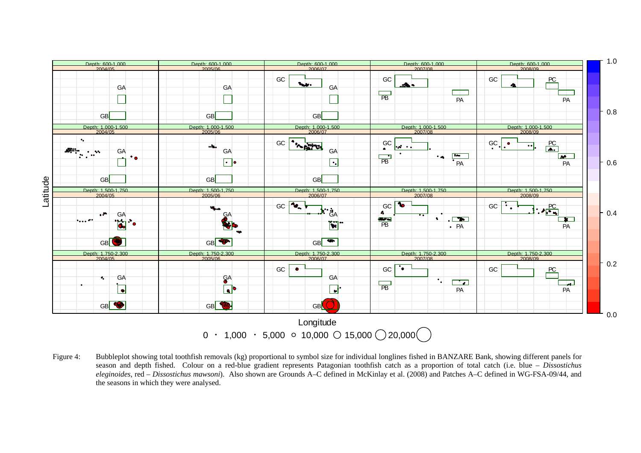

Figure 4: Bubbleplot showing total toothfish removals (kg) proportional to symbol size for individual longlines fished in BANZARE Bank, showing different panels for season and depth fished. Colour on a red-blue gradient represents Patagonian toothfish catch as a proportion of total catch (i.e. blue – *Dissostichus eleginoides*, red – *Dissostichus mawsoni*). Also shown are Grounds A–C defined in McKinlay et al. (2008) and Patches A–C defined in WG-FSA-09/44, and the seasons in which they were analysed.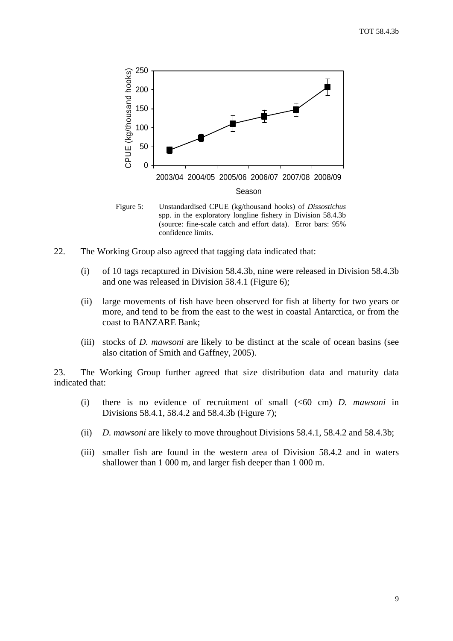

Figure 5: Unstandardised CPUE (kg/thousand hooks) of *Dissostichus* spp. in the exploratory longline fishery in Division 58.4.3b (source: fine-scale catch and effort data). Error bars: 95% confidence limits.

- 22. The Working Group also agreed that tagging data indicated that:
	- (i) of 10 tags recaptured in Division 58.4.3b, nine were released in Division 58.4.3b and one was released in Division 58.4.1 (Figure 6);
	- (ii) large movements of fish have been observed for fish at liberty for two years or more, and tend to be from the east to the west in coastal Antarctica, or from the coast to BANZARE Bank;
	- (iii) stocks of *D. mawsoni* are likely to be distinct at the scale of ocean basins (see also citation of Smith and Gaffney, 2005).

23. The Working Group further agreed that size distribution data and maturity data indicated that:

- (i) there is no evidence of recruitment of small (<60 cm) *D. mawsoni* in Divisions 58.4.1, 58.4.2 and 58.4.3b (Figure 7);
- (ii) *D. mawsoni* are likely to move throughout Divisions 58.4.1, 58.4.2 and 58.4.3b;
- (iii) smaller fish are found in the western area of Division 58.4.2 and in waters shallower than 1 000 m, and larger fish deeper than 1 000 m.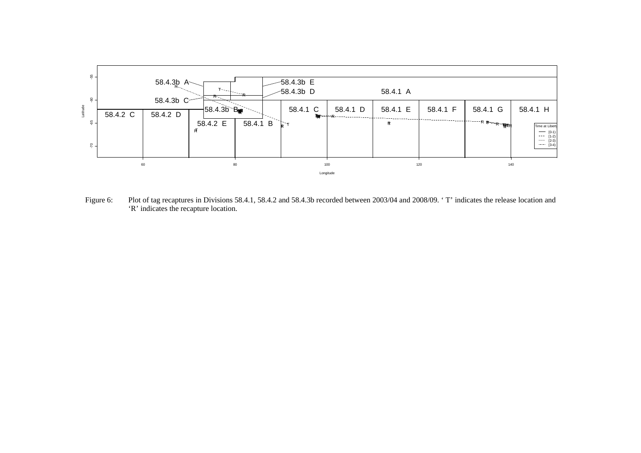

Figure 6: Plot of tag recaptures in Divisions 58.4.1, 58.4.2 and 58.4.3b recorded between 2003/04 and 2008/09. 'T' indicates the release location and 'R' indicates the recapture location.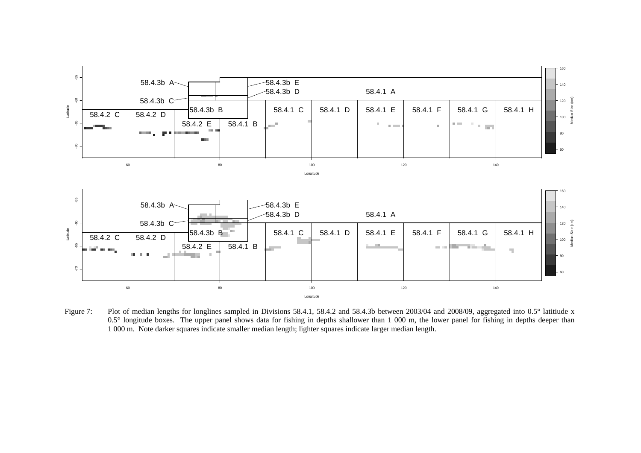

Figure 7: Plot of median lengths for longlines sampled in Divisions 58.4.1, 58.4.2 and 58.4.3b between 2003/04 and 2008/09, aggregated into 0.5° latitiude x 0.5° longitude boxes. The upper panel shows data for fishing in depths shallower than 1 000 m, the lower panel for fishing in depths deeper than 1 000 m. Note darker squares indicate smaller median length; lighter squares indicate larger median length.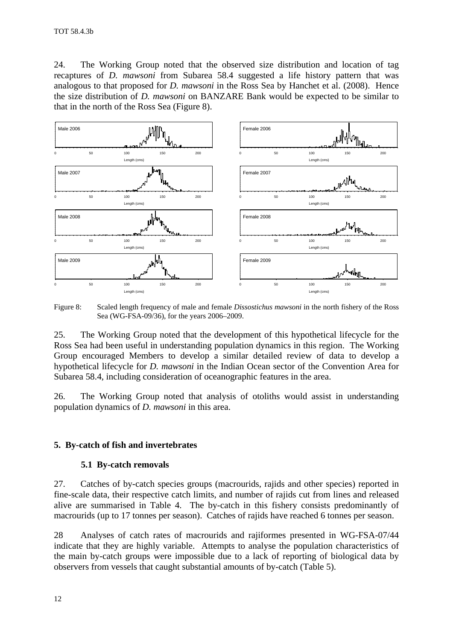<span id="page-13-0"></span>24. The Working Group noted that the observed size distribution and location of tag recaptures of *D. mawsoni* from Subarea 58.4 suggested a life history pattern that was analogous to that proposed for *D. mawsoni* in the Ross Sea by Hanchet et al. (2008). Hence the size distribution of *D. mawsoni* on BANZARE Bank would be expected to be similar to that in the north of the Ross Sea (Figure 8).



Figure 8: Scaled length frequency of male and female *Dissostichus mawsoni* in the north fishery of the Ross Sea (WG-FSA-09/36), for the years 2006–2009.

25. The Working Group noted that the development of this hypothetical lifecycle for the Ross Sea had been useful in understanding population dynamics in this region. The Working Group encouraged Members to develop a similar detailed review of data to develop a hypothetical lifecycle for *D. mawsoni* in the Indian Ocean sector of the Convention Area for Subarea 58.4, including consideration of oceanographic features in the area.

26. The Working Group noted that analysis of otoliths would assist in understanding population dynamics of *D. mawsoni* in this area.

### **5. By-catch of fish and invertebrates**

#### **5.1 By-catch removals**

27. Catches of by-catch species groups (macrourids, rajids and other species) reported in fine-scale data, their respective catch limits, and number of rajids cut from lines and released alive are summarised in Table 4. The by-catch in this fishery consists predominantly of macrourids (up to 17 tonnes per season). Catches of rajids have reached 6 tonnes per season.

28 Analyses of catch rates of macrourids and rajiformes presented in WG-FSA-07/44 indicate that they are highly variable. Attempts to analyse the population characteristics of the main by-catch groups were impossible due to a lack of reporting of biological data by observers from vessels that caught substantial amounts of by-catch (Table 5).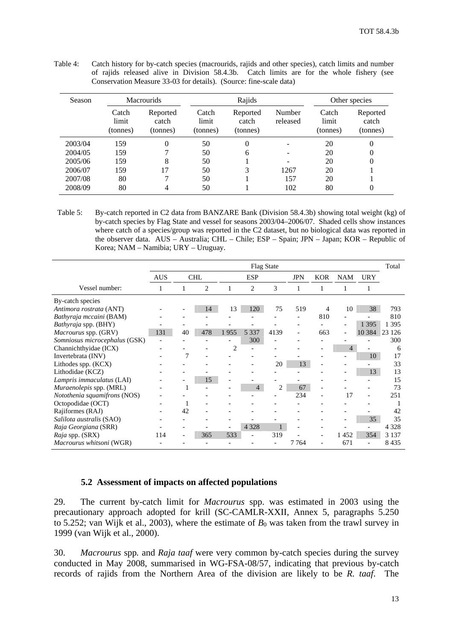| <b>Season</b> |                            | <b>Macrourids</b>             |                            | Rajids                        |                    |                            | Other species                 |
|---------------|----------------------------|-------------------------------|----------------------------|-------------------------------|--------------------|----------------------------|-------------------------------|
|               | Catch<br>limit<br>(tonnes) | Reported<br>catch<br>(tonnes) | Catch<br>limit<br>(tonnes) | Reported<br>catch<br>(tonnes) | Number<br>released | Catch<br>limit<br>(tonnes) | Reported<br>catch<br>(tonnes) |
| 2003/04       | 159                        | 0                             | 50                         | $\Omega$                      |                    | 20                         | $\Omega$                      |
| 2004/05       | 159                        |                               | 50                         | 6                             |                    | 20                         | $\theta$                      |
| 2005/06       | 159                        | 8                             | 50                         |                               |                    | 20                         | $\theta$                      |
| 2006/07       | 159                        | 17                            | 50                         | 3                             | 1267               | 20                         |                               |
| 2007/08       | 80                         |                               | 50                         |                               | 157                | 20                         |                               |

2008/09 80 4 50 1 102 80 0

<span id="page-14-0"></span>Table 4: Catch history for by-catch species (macrourids, rajids and other species), catch limits and number of rajids released alive in Division 58.4.3b. Catch limits are for the whole fishery (see Conservation Measure 33-03 for details). (Source: fine-scale data)

Table 5: By-catch reported in C2 data from BANZARE Bank (Division 58.4.3b) showing total weight (kg) of by-catch species by Flag State and vessel for seasons 2003/04–2006/07. Shaded cells show instances where catch of a species/group was reported in the C2 dataset, but no biological data was reported in the observer data. AUS – Australia; CHL – Chile; ESP – Spain; JPN – Japan; KOR – Republic of Korea; NAM – Namibia; URY – Uruguay.

|                                | <b>Flag State</b> |    |            |                |                |                |                          | Total      |                          |                          |         |
|--------------------------------|-------------------|----|------------|----------------|----------------|----------------|--------------------------|------------|--------------------------|--------------------------|---------|
|                                | <b>AUS</b>        |    | <b>CHL</b> |                | <b>ESP</b>     |                | <b>JPN</b>               | <b>KOR</b> | <b>NAM</b>               | <b>URY</b>               |         |
| Vessel number:                 |                   |    | 2          |                | 2              | 3              |                          |            |                          |                          |         |
| By-catch species               |                   |    |            |                |                |                |                          |            |                          |                          |         |
| Antimora rostrata (ANT)        |                   |    | 14         | 13             | 120            | 75             | 519                      | 4          | 10                       | 38                       | 793     |
| Bathyraja mccaini (BAM)        |                   |    |            |                |                |                |                          | 810        |                          |                          | 810     |
| Bathyraja spp. (BHY)           |                   |    |            |                |                |                |                          |            |                          | 1 3 9 5                  | 1 3 9 5 |
| <i>Macrourus spp.</i> (GRV)    | 131               | 40 | 478        | 1955           | 5 3 3 7        | 4139           | $\overline{\phantom{a}}$ | 663        | $\overline{\phantom{a}}$ | 10 3 8 4                 | 23 1 26 |
| Somniosus microcephalus (GSK)  |                   |    |            |                | 300            |                |                          |            |                          |                          | 300     |
| Channichthyidae (ICX)          |                   |    |            | $\overline{c}$ |                |                |                          |            | $\overline{4}$           |                          | 6       |
| Invertebrata (INV)             |                   | 7  |            |                |                |                |                          |            |                          | 10                       | 17      |
| Lithodes spp. (KCX)            |                   |    |            |                |                | 20             | 13                       |            |                          |                          | 33      |
| Lithodidae (KCZ)               |                   |    |            |                |                |                |                          |            |                          | 13                       | 13      |
| Lampris immaculatus (LAI)      |                   |    | 15         |                |                |                |                          |            |                          |                          | 15      |
| <i>Muraenolepis</i> spp. (MRL) |                   |    |            |                | $\overline{4}$ | $\overline{c}$ | 67                       |            |                          |                          | 73      |
| Notothenia squamifrons (NOS)   |                   |    |            |                |                |                | 234                      |            | 17                       | $\overline{a}$           | 251     |
| Octopodidae (OCT)              |                   |    |            |                |                |                |                          |            |                          |                          |         |
| Rajiformes (RAJ)               |                   | 42 |            |                |                |                |                          |            |                          |                          | 42      |
| Salilota australis (SAO)       |                   |    |            |                |                |                |                          |            |                          | 35                       | 35      |
| Raja Georgiana (SRR)           |                   |    |            |                | 4 3 2 8        | 1              |                          |            |                          |                          | 4 3 2 8 |
| Raja spp. (SRX)                | 114               |    | 365        | 533            |                | 319            |                          |            | 1452                     | 354                      | 3 1 3 7 |
| Macrourus whitsoni (WGR)       |                   |    |            |                |                |                | 7764                     |            | 671                      | $\overline{\phantom{a}}$ | 8435    |

## **5.2 Assessment of impacts on affected populations**

29. The current by-catch limit for *Macrourus* spp. was estimated in 2003 using the precautionary approach adopted for krill (SC-CAMLR-XXII, Annex 5, paragraphs 5.250 to 5.252; van Wijk et al., 2003), where the estimate of  $B_0$  was taken from the trawl survey in 1999 (van Wijk et al., 2000).

30. *Macrourus* spp*.* and *Raja taaf* were very common by-catch species during the survey conducted in May 2008, summarised in WG-FSA-08/57, indicating that previous by-catch records of rajids from the Northern Area of the division are likely to be *R. taaf*. The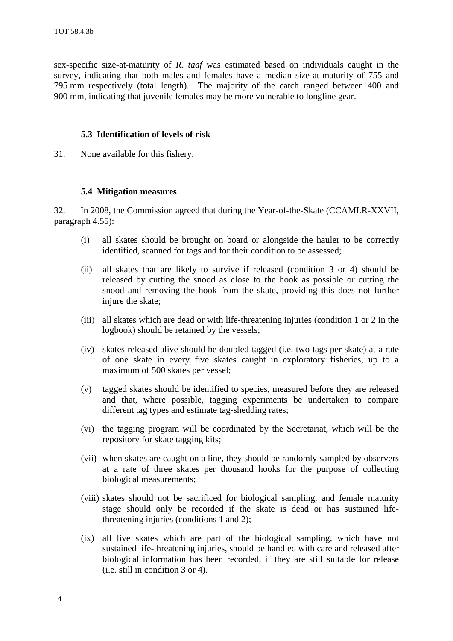<span id="page-15-0"></span>sex-specific size-at-maturity of *R. taaf* was estimated based on individuals caught in the survey, indicating that both males and females have a median size-at-maturity of 755 and 795 mm respectively (total length). The majority of the catch ranged between 400 and 900 mm, indicating that juvenile females may be more vulnerable to longline gear.

#### **5.3 Identification of levels of risk**

31. None available for this fishery.

#### **5.4 Mitigation measures**

32. In 2008, the Commission agreed that during the Year-of-the-Skate (CCAMLR-XXVII, paragraph 4.55):

- (i) all skates should be brought on board or alongside the hauler to be correctly identified, scanned for tags and for their condition to be assessed;
- (ii) all skates that are likely to survive if released (condition 3 or 4) should be released by cutting the snood as close to the hook as possible or cutting the snood and removing the hook from the skate, providing this does not further injure the skate;
- (iii) all skates which are dead or with life-threatening injuries (condition 1 or 2 in the logbook) should be retained by the vessels;
- (iv) skates released alive should be doubled-tagged (i.e. two tags per skate) at a rate of one skate in every five skates caught in exploratory fisheries, up to a maximum of 500 skates per vessel;
- (v) tagged skates should be identified to species, measured before they are released and that, where possible, tagging experiments be undertaken to compare different tag types and estimate tag-shedding rates;
- (vi) the tagging program will be coordinated by the Secretariat, which will be the repository for skate tagging kits;
- (vii) when skates are caught on a line, they should be randomly sampled by observers at a rate of three skates per thousand hooks for the purpose of collecting biological measurements;
- (viii) skates should not be sacrificed for biological sampling, and female maturity stage should only be recorded if the skate is dead or has sustained lifethreatening injuries (conditions 1 and 2);
- (ix) all live skates which are part of the biological sampling, which have not sustained life-threatening injuries, should be handled with care and released after biological information has been recorded, if they are still suitable for release (i.e. still in condition 3 or 4).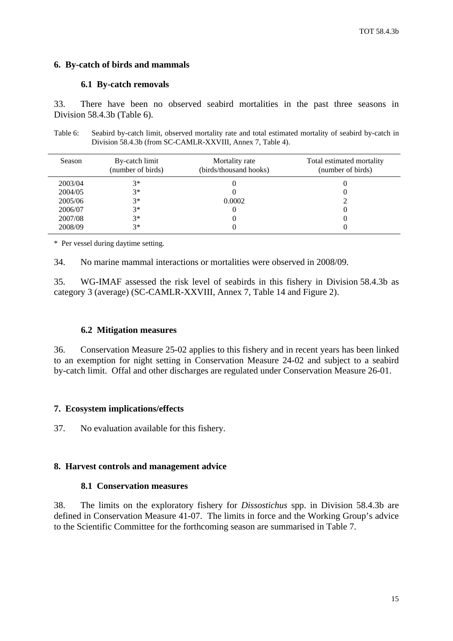### <span id="page-16-0"></span>**6. By-catch of birds and mammals**

#### **6.1 By-catch removals**

33. There have been no observed seabird mortalities in the past three seasons in Division 58.4.3b (Table 6).

Table 6: Seabird by-catch limit, observed mortality rate and total estimated mortality of seabird by-catch in Division 58.4.3b (from SC-CAMLR-XXVIII, Annex 7, Table 4).

| Season  | By-catch limit<br>(number of birds) | Mortality rate<br>(birds/thousand hooks) | Total estimated mortality<br>(number of birds) |
|---------|-------------------------------------|------------------------------------------|------------------------------------------------|
| 2003/04 | $3*$                                |                                          |                                                |
| 2004/05 | $3*$                                |                                          |                                                |
| 2005/06 | $3*$                                | 0.0002                                   |                                                |
| 2006/07 | $3*$                                |                                          |                                                |
| 2007/08 | $3*$                                |                                          |                                                |
| 2008/09 | $3*$                                |                                          |                                                |

\* Per vessel during daytime setting.

34. No marine mammal interactions or mortalities were observed in 2008/09.

35. WG-IMAF assessed the risk level of seabirds in this fishery in Division 58.4.3b as category 3 (average) (SC-CAMLR-XXVIII, Annex 7, Table 14 and Figure 2).

# **6.2 Mitigation measures**

36. Conservation Measure 25-02 applies to this fishery and in recent years has been linked to an exemption for night setting in Conservation Measure 24-02 and subject to a seabird by-catch limit. Offal and other discharges are regulated under Conservation Measure 26-01.

### **7. Ecosystem implications/effects**

37. No evaluation available for this fishery.

#### **8. Harvest controls and management advice**

#### **8.1 Conservation measures**

38. The limits on the exploratory fishery for *Dissostichus* spp. in Division 58.4.3b are defined in Conservation Measure 41-07. The limits in force and the Working Group's advice to the Scientific Committee for the forthcoming season are summarised in Table 7.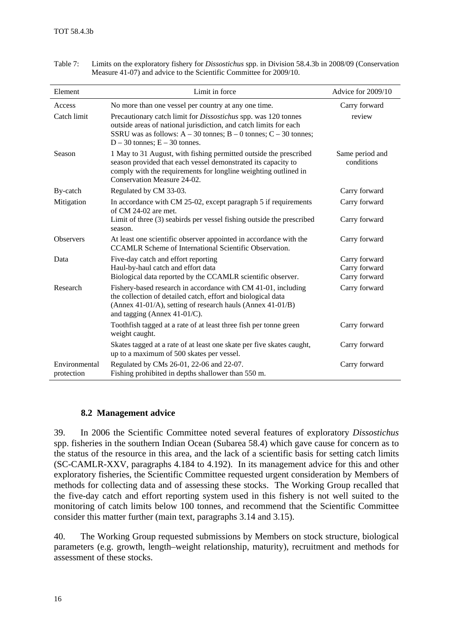| Element                     | Limit in force                                                                                                                                                                                                                                            | Advice for 2009/10                              |
|-----------------------------|-----------------------------------------------------------------------------------------------------------------------------------------------------------------------------------------------------------------------------------------------------------|-------------------------------------------------|
| Access                      | No more than one vessel per country at any one time.                                                                                                                                                                                                      | Carry forward                                   |
| Catch limit                 | Precautionary catch limit for <i>Dissostichus</i> spp. was 120 tonnes<br>outside areas of national jurisdiction, and catch limits for each<br>SSRU was as follows: $A - 30$ tonnes; $B - 0$ tonnes; $C - 30$ tonnes;<br>$D - 30$ tonnes; $E - 30$ tonnes. | review                                          |
| Season                      | 1 May to 31 August, with fishing permitted outside the prescribed<br>season provided that each vessel demonstrated its capacity to<br>comply with the requirements for longline weighting outlined in<br>Conservation Measure 24-02.                      | Same period and<br>conditions                   |
| By-catch                    | Regulated by CM 33-03.                                                                                                                                                                                                                                    | Carry forward                                   |
| Mitigation                  | In accordance with CM 25-02, except paragraph 5 if requirements<br>of $CM$ 24-02 are met.                                                                                                                                                                 | Carry forward                                   |
|                             | Limit of three (3) seabirds per vessel fishing outside the prescribed<br>season.                                                                                                                                                                          | Carry forward                                   |
| <b>Observers</b>            | At least one scientific observer appointed in accordance with the<br>CCAMLR Scheme of International Scientific Observation.                                                                                                                               | Carry forward                                   |
| Data                        | Five-day catch and effort reporting<br>Haul-by-haul catch and effort data<br>Biological data reported by the CCAMLR scientific observer.                                                                                                                  | Carry forward<br>Carry forward<br>Carry forward |
| Research                    | Fishery-based research in accordance with CM 41-01, including<br>the collection of detailed catch, effort and biological data<br>(Annex 41-01/A), setting of research hauls (Annex 41-01/B)<br>and tagging (Annex $41-01/C$ ).                            | Carry forward                                   |
|                             | Toothfish tagged at a rate of at least three fish per tonne green<br>weight caught.                                                                                                                                                                       | Carry forward                                   |
|                             | Skates tagged at a rate of at least one skate per five skates caught,<br>up to a maximum of 500 skates per vessel.                                                                                                                                        | Carry forward                                   |
| Environmental<br>protection | Regulated by CMs 26-01, 22-06 and 22-07.<br>Fishing prohibited in depths shallower than 550 m.                                                                                                                                                            | Carry forward                                   |

<span id="page-17-0"></span>Table 7: Limits on the exploratory fishery for *Dissostichus* spp. in Division 58.4.3b in 2008/09 (Conservation Measure 41-07) and advice to the Scientific Committee for 2009/10.

### **8.2 Management advice**

39. In 2006 the Scientific Committee noted several features of exploratory *Dissostichus* spp. fisheries in the southern Indian Ocean (Subarea 58.4) which gave cause for concern as to the status of the resource in this area, and the lack of a scientific basis for setting catch limits (SC-CAMLR-XXV, paragraphs 4.184 to 4.192). In its management advice for this and other exploratory fisheries, the Scientific Committee requested urgent consideration by Members of methods for collecting data and of assessing these stocks. The Working Group recalled that the five-day catch and effort reporting system used in this fishery is not well suited to the monitoring of catch limits below 100 tonnes, and recommend that the Scientific Committee consider this matter further (main text, paragraphs 3.14 and 3.15).

40. The Working Group requested submissions by Members on stock structure, biological parameters (e.g. growth, length–weight relationship, maturity), recruitment and methods for assessment of these stocks.